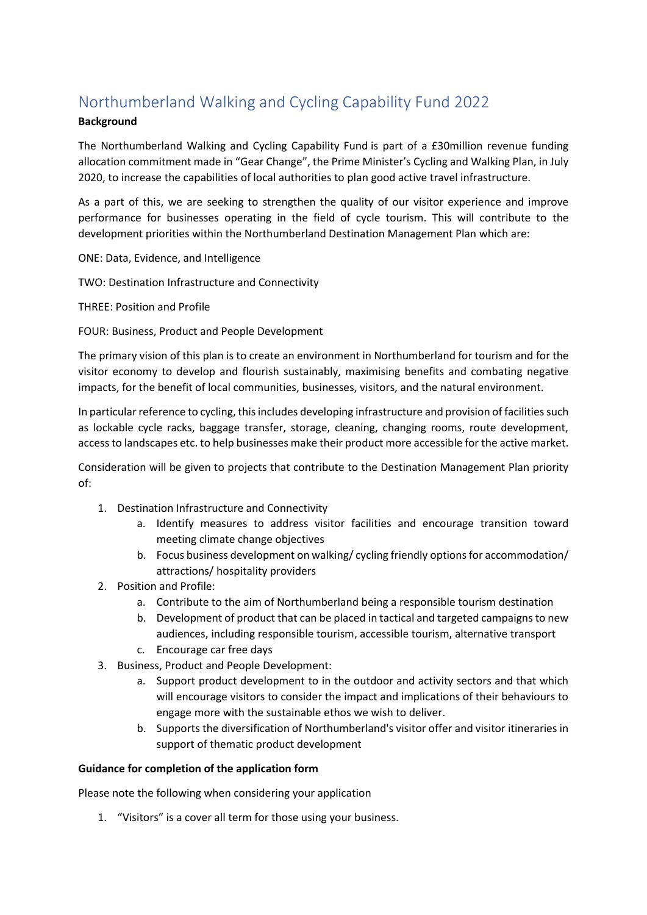# Northumberland Walking and Cycling Capability Fund 2022

# **Background**

The Northumberland Walking and Cycling Capability Fund is part of a £30million revenue funding allocation commitment made in "Gear Change", the Prime Minister's Cycling and Walking Plan, in July 2020, to increase the capabilities of local authorities to plan good active travel infrastructure.

As a part of this, we are seeking to strengthen the quality of our visitor experience and improve performance for businesses operating in the field of cycle tourism. This will contribute to the development priorities within the Northumberland Destination Management Plan which are:

ONE: Data, Evidence, and Intelligence

TWO: Destination Infrastructure and Connectivity

THREE: Position and Profile

FOUR: Business, Product and People Development

The primary vision of this plan is to create an environment in Northumberland for tourism and for the visitor economy to develop and flourish sustainably, maximising benefits and combating negative impacts, for the benefit of local communities, businesses, visitors, and the natural environment.

In particular reference to cycling, this includes developing infrastructure and provision of facilities such as lockable cycle racks, baggage transfer, storage, cleaning, changing rooms, route development, access to landscapes etc. to help businesses make their product more accessible for the active market.

Consideration will be given to projects that contribute to the Destination Management Plan priority of:

- 1. Destination Infrastructure and Connectivity
	- a. Identify measures to address visitor facilities and encourage transition toward meeting climate change objectives
	- b. Focus business development on walking/ cycling friendly options for accommodation/ attractions/ hospitality providers
- 2. Position and Profile:
	- a. Contribute to the aim of Northumberland being a responsible tourism destination
	- b. Development of product that can be placed in tactical and targeted campaigns to new audiences, including responsible tourism, accessible tourism, alternative transport
	- c. Encourage car free days
- 3. Business, Product and People Development:
	- a. Support product development to in the outdoor and activity sectors and that which will encourage visitors to consider the impact and implications of their behaviours to engage more with the sustainable ethos we wish to deliver.
	- b. Supports the diversification of Northumberland's visitor offer and visitor itineraries in support of thematic product development

# **Guidance for completion of the application form**

Please note the following when considering your application

1. "Visitors" is a cover all term for those using your business.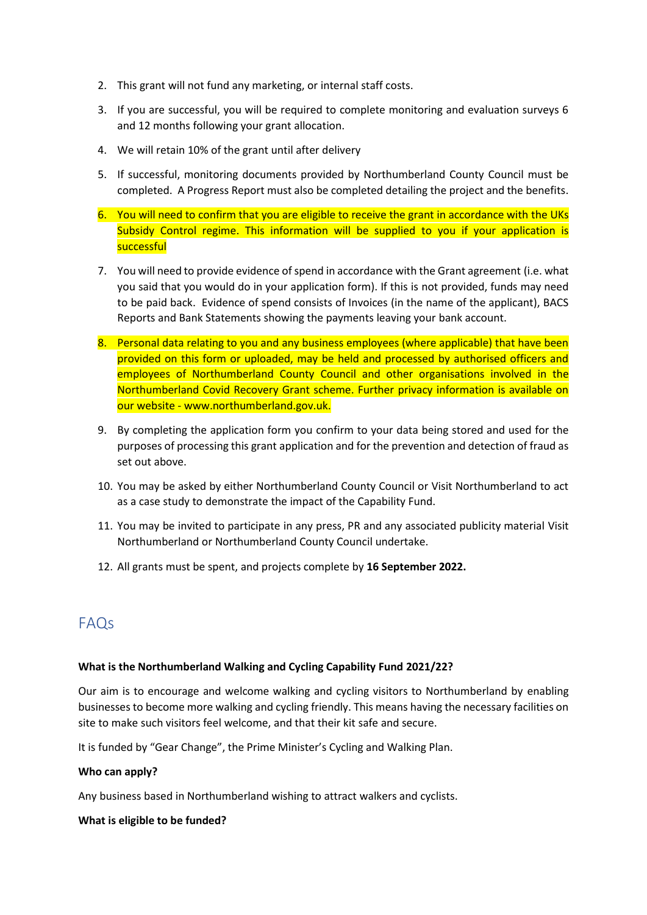- 2. This grant will not fund any marketing, or internal staff costs.
- 3. If you are successful, you will be required to complete monitoring and evaluation surveys 6 and 12 months following your grant allocation.
- 4. We will retain 10% of the grant until after delivery
- 5. If successful, monitoring documents provided by Northumberland County Council must be completed. A Progress Report must also be completed detailing the project and the benefits.
- 6. You will need to confirm that you are eligible to receive the grant in accordance with the UKs Subsidy Control regime. This information will be supplied to you if your application is successful
- 7. You will need to provide evidence of spend in accordance with the Grant agreement (i.e. what you said that you would do in your application form). If this is not provided, funds may need to be paid back. Evidence of spend consists of Invoices (in the name of the applicant), BACS Reports and Bank Statements showing the payments leaving your bank account.
- 8. Personal data relating to you and any business employees (where applicable) that have been provided on this form or uploaded, may be held and processed by authorised officers and employees of Northumberland County Council and other organisations involved in the Northumberland Covid Recovery Grant scheme. Further privacy information is available on our website - www.northumberland.gov.uk.
- 9. By completing the application form you confirm to your data being stored and used for the purposes of processing this grant application and for the prevention and detection of fraud as set out above.
- 10. You may be asked by either Northumberland County Council or Visit Northumberland to act as a case study to demonstrate the impact of the Capability Fund.
- 11. You may be invited to participate in any press, PR and any associated publicity material Visit Northumberland or Northumberland County Council undertake.
- 12. All grants must be spent, and projects complete by **16 September 2022.**

# FAQs

# **What is the Northumberland Walking and Cycling Capability Fund 2021/22?**

Our aim is to encourage and welcome walking and cycling visitors to Northumberland by enabling businesses to become more walking and cycling friendly. This means having the necessary facilities on site to make such visitors feel welcome, and that their kit safe and secure.

It is funded by "Gear Change", the Prime Minister's Cycling and Walking Plan.

# **Who can apply?**

Any business based in Northumberland wishing to attract walkers and cyclists.

#### **What is eligible to be funded?**